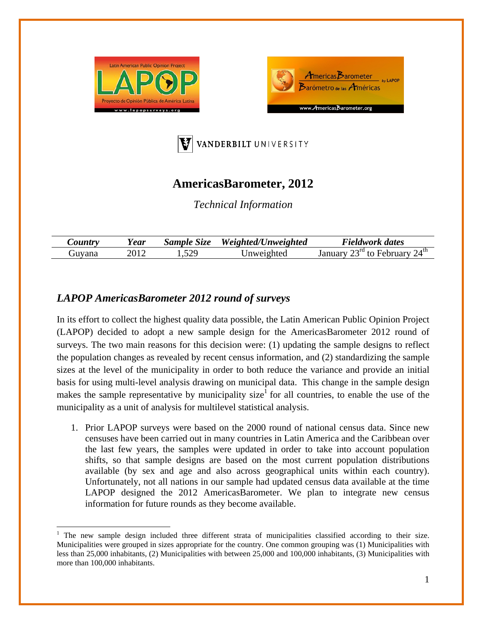





## **AmericasBarometer, 2012**

*Technical Information* 

| $\mathcal{L}$ ountry | rear | $\sim$<br>Sample<br>Size | <b>Unweighted</b><br>Weighted/l | Fieldwork dates                                  |
|----------------------|------|--------------------------|---------------------------------|--------------------------------------------------|
| Guvana               |      | ാവ<br>. . <i>. .</i> .   |                                 | $24^{\text{th}}$<br>$\gamma$ - $\gamma$ ra<br>tΛ |

## *LAPOP AmericasBarometer 2012 round of surveys*

In its effort to collect the highest quality data possible, the Latin American Public Opinion Project (LAPOP) decided to adopt a new sample design for the AmericasBarometer 2012 round of surveys. The two main reasons for this decision were: (1) updating the sample designs to reflect the population changes as revealed by recent census information, and (2) standardizing the sample sizes at the level of the municipality in order to both reduce the variance and provide an initial basis for using multi-level analysis drawing on municipal data. This change in the sample design makes the sample representative by municipality size<sup>1</sup> for all countries, to enable the use of the municipality as a unit of analysis for multilevel statistical analysis.

1. Prior LAPOP surveys were based on the 2000 round of national census data. Since new censuses have been carried out in many countries in Latin America and the Caribbean over the last few years, the samples were updated in order to take into account population shifts, so that sample designs are based on the most current population distributions available (by sex and age and also across geographical units within each country). Unfortunately, not all nations in our sample had updated census data available at the time LAPOP designed the 2012 AmericasBarometer. We plan to integrate new census information for future rounds as they become available.

<sup>&</sup>lt;sup>1</sup> The new sample design included three different strata of municipalities classified according to their size. Municipalities were grouped in sizes appropriate for the country. One common grouping was (1) Municipalities with less than 25,000 inhabitants, (2) Municipalities with between 25,000 and 100,000 inhabitants, (3) Municipalities with more than 100,000 inhabitants.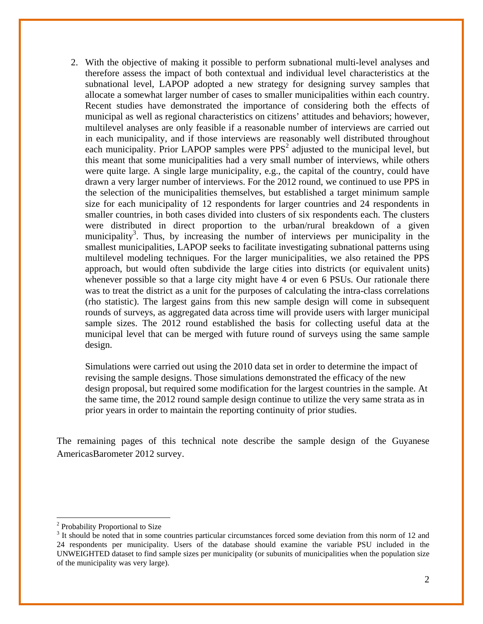2. With the objective of making it possible to perform subnational multi-level analyses and therefore assess the impact of both contextual and individual level characteristics at the subnational level, LAPOP adopted a new strategy for designing survey samples that allocate a somewhat larger number of cases to smaller municipalities within each country. Recent studies have demonstrated the importance of considering both the effects of municipal as well as regional characteristics on citizens' attitudes and behaviors; however, multilevel analyses are only feasible if a reasonable number of interviews are carried out in each municipality, and if those interviews are reasonably well distributed throughout each municipality. Prior LAPOP samples were  $PPS<sup>2</sup>$  adjusted to the municipal level, but this meant that some municipalities had a very small number of interviews, while others were quite large. A single large municipality, e.g., the capital of the country, could have drawn a very larger number of interviews. For the 2012 round, we continued to use PPS in the selection of the municipalities themselves, but established a target minimum sample size for each municipality of 12 respondents for larger countries and 24 respondents in smaller countries, in both cases divided into clusters of six respondents each. The clusters were distributed in direct proportion to the urban/rural breakdown of a given municipality<sup>3</sup>. Thus, by increasing the number of interviews per municipality in the smallest municipalities, LAPOP seeks to facilitate investigating subnational patterns using multilevel modeling techniques. For the larger municipalities, we also retained the PPS approach, but would often subdivide the large cities into districts (or equivalent units) whenever possible so that a large city might have 4 or even 6 PSUs. Our rationale there was to treat the district as a unit for the purposes of calculating the intra-class correlations (rho statistic). The largest gains from this new sample design will come in subsequent rounds of surveys, as aggregated data across time will provide users with larger municipal sample sizes. The 2012 round established the basis for collecting useful data at the municipal level that can be merged with future round of surveys using the same sample design.

Simulations were carried out using the 2010 data set in order to determine the impact of revising the sample designs. Those simulations demonstrated the efficacy of the new design proposal, but required some modification for the largest countries in the sample. At the same time, the 2012 round sample design continue to utilize the very same strata as in prior years in order to maintain the reporting continuity of prior studies.

The remaining pages of this technical note describe the sample design of the Guyanese AmericasBarometer 2012 survey.

 <sup>2</sup> Probability Proportional to Size

<sup>&</sup>lt;sup>3</sup> It should be noted that in some countries particular circumstances forced some deviation from this norm of 12 and 24 respondents per municipality. Users of the database should examine the variable PSU included in the UNWEIGHTED dataset to find sample sizes per municipality (or subunits of municipalities when the population size of the municipality was very large).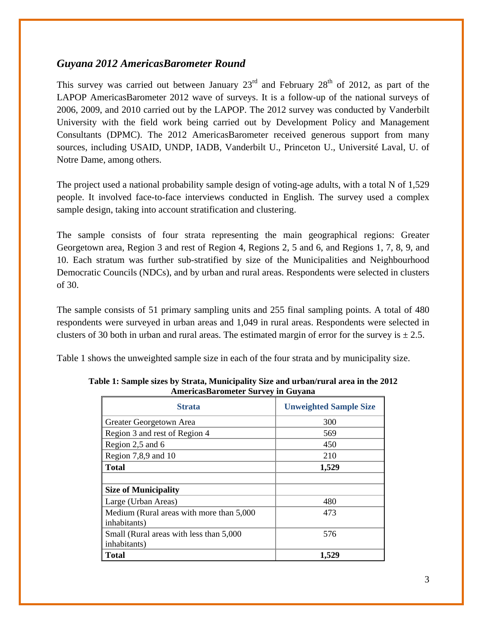## *Guyana 2012 AmericasBarometer Round*

This survey was carried out between January  $23<sup>rd</sup>$  and February  $28<sup>th</sup>$  of 2012, as part of the LAPOP AmericasBarometer 2012 wave of surveys. It is a follow-up of the national surveys of 2006, 2009, and 2010 carried out by the LAPOP. The 2012 survey was conducted by Vanderbilt University with the field work being carried out by Development Policy and Management Consultants (DPMC). The 2012 AmericasBarometer received generous support from many sources, including USAID, UNDP, IADB, Vanderbilt U., Princeton U., Université Laval, U. of Notre Dame, among others.

The project used a national probability sample design of voting-age adults, with a total N of 1,529 people. It involved face-to-face interviews conducted in English. The survey used a complex sample design, taking into account stratification and clustering.

The sample consists of four strata representing the main geographical regions: Greater Georgetown area, Region 3 and rest of Region 4, Regions 2, 5 and 6, and Regions 1, 7, 8, 9, and 10. Each stratum was further sub-stratified by size of the Municipalities and Neighbourhood Democratic Councils (NDCs), and by urban and rural areas. Respondents were selected in clusters of 30.

The sample consists of 51 primary sampling units and 255 final sampling points. A total of 480 respondents were surveyed in urban areas and 1,049 in rural areas. Respondents were selected in clusters of 30 both in urban and rural areas. The estimated margin of error for the survey is  $\pm$  2.5.

Table 1 shows the unweighted sample size in each of the four strata and by municipality size.

| ликтказдагынски эш тет игчили             |                               |  |  |  |
|-------------------------------------------|-------------------------------|--|--|--|
| <b>Strata</b>                             | <b>Unweighted Sample Size</b> |  |  |  |
| Greater Georgetown Area                   | 300                           |  |  |  |
| Region 3 and rest of Region 4             | 569                           |  |  |  |
| Region 2,5 and 6                          | 450                           |  |  |  |
| Region $7,8,9$ and $10$                   | 210                           |  |  |  |
| <b>Total</b>                              | 1,529                         |  |  |  |
|                                           |                               |  |  |  |
| <b>Size of Municipality</b>               |                               |  |  |  |
| Large (Urban Areas)                       | 480                           |  |  |  |
| Medium (Rural areas with more than 5,000) | 473                           |  |  |  |
| inhabitants)                              |                               |  |  |  |
| Small (Rural areas with less than 5,000)  | 576                           |  |  |  |
| inhabitants)                              |                               |  |  |  |
| <b>Total</b>                              | 1,529                         |  |  |  |

**Table 1: Sample sizes by Strata, Municipality Size and urban/rural area in the 2012 AmericasBarometer Survey in Guyana**